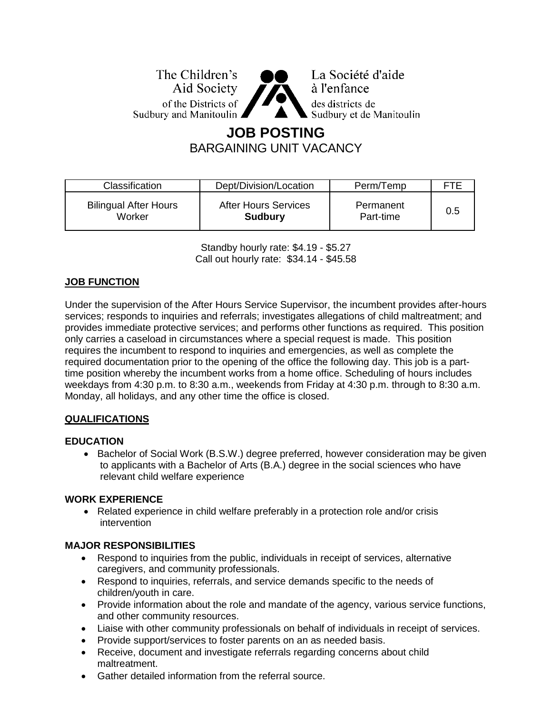The Children's Aid Society of the Districts of Sudbury and Manitoulin ▲



La Société d'aide à l'enfance des districts de Sudbury et de Manitoulin

## **JOB POSTING** BARGAINING UNIT VACANCY

| <b>Classification</b>        | Dept/Division/Location      | Perm/Temp | FTF |
|------------------------------|-----------------------------|-----------|-----|
| <b>Bilingual After Hours</b> | <b>After Hours Services</b> | Permanent | 0.5 |
| Worker                       | <b>Sudbury</b>              | Part-time |     |

Standby hourly rate: \$4.19 - \$5.27 Call out hourly rate: \$34.14 - \$45.58

#### **JOB FUNCTION**

Under the supervision of the After Hours Service Supervisor, the incumbent provides after-hours services; responds to inquiries and referrals; investigates allegations of child maltreatment; and provides immediate protective services; and performs other functions as required. This position only carries a caseload in circumstances where a special request is made. This position requires the incumbent to respond to inquiries and emergencies, as well as complete the required documentation prior to the opening of the office the following day. This job is a parttime position whereby the incumbent works from a home office. Scheduling of hours includes weekdays from 4:30 p.m. to 8:30 a.m., weekends from Friday at 4:30 p.m. through to 8:30 a.m. Monday, all holidays, and any other time the office is closed.

#### **QUALIFICATIONS**

#### **EDUCATION**

• Bachelor of Social Work (B.S.W.) degree preferred, however consideration may be given to applicants with a Bachelor of Arts (B.A.) degree in the social sciences who have relevant child welfare experience

#### **WORK EXPERIENCE**

• Related experience in child welfare preferably in a protection role and/or crisis intervention

#### **MAJOR RESPONSIBILITIES**

- Respond to inquiries from the public, individuals in receipt of services, alternative caregivers, and community professionals.
- Respond to inquiries, referrals, and service demands specific to the needs of children/youth in care.
- Provide information about the role and mandate of the agency, various service functions, and other community resources.
- Liaise with other community professionals on behalf of individuals in receipt of services.
- Provide support/services to foster parents on an as needed basis.
- Receive, document and investigate referrals regarding concerns about child maltreatment.
- Gather detailed information from the referral source.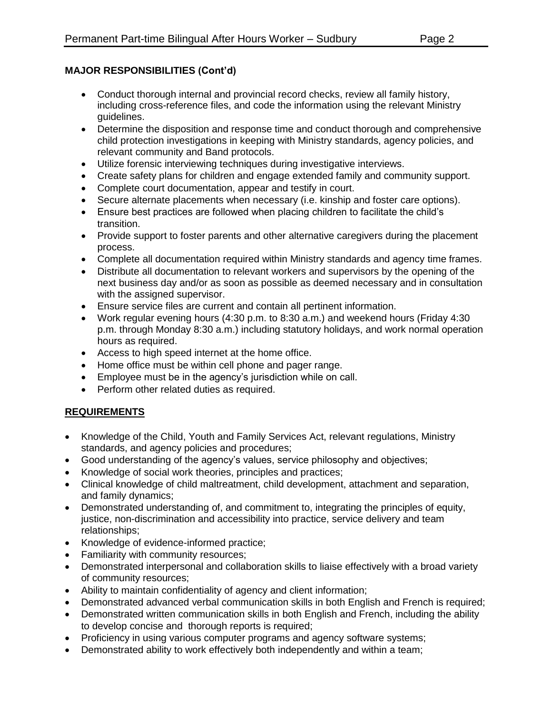# **MAJOR RESPONSIBILITIES (Cont'd)**

- Conduct thorough internal and provincial record checks, review all family history, including cross-reference files, and code the information using the relevant Ministry guidelines.
- Determine the disposition and response time and conduct thorough and comprehensive child protection investigations in keeping with Ministry standards, agency policies, and relevant community and Band protocols.
- Utilize forensic interviewing techniques during investigative interviews.
- Create safety plans for children and engage extended family and community support.
- Complete court documentation, appear and testify in court.
- Secure alternate placements when necessary (i.e. kinship and foster care options).
- Ensure best practices are followed when placing children to facilitate the child's transition.
- Provide support to foster parents and other alternative caregivers during the placement process.
- Complete all documentation required within Ministry standards and agency time frames.
- Distribute all documentation to relevant workers and supervisors by the opening of the next business day and/or as soon as possible as deemed necessary and in consultation with the assigned supervisor.
- Ensure service files are current and contain all pertinent information.
- Work regular evening hours (4:30 p.m. to 8:30 a.m.) and weekend hours (Friday 4:30 p.m. through Monday 8:30 a.m.) including statutory holidays, and work normal operation hours as required.
- Access to high speed internet at the home office.
- Home office must be within cell phone and pager range.
- Employee must be in the agency's jurisdiction while on call.
- Perform other related duties as required.

### **REQUIREMENTS**

- Knowledge of the Child, Youth and Family Services Act, relevant regulations, Ministry standards, and agency policies and procedures;
- Good understanding of the agency's values, service philosophy and objectives;
- Knowledge of social work theories, principles and practices;
- Clinical knowledge of child maltreatment, child development, attachment and separation, and family dynamics;
- Demonstrated understanding of, and commitment to, integrating the principles of equity, justice, non-discrimination and accessibility into practice, service delivery and team relationships;
- Knowledge of evidence-informed practice;
- Familiarity with community resources;
- Demonstrated interpersonal and collaboration skills to liaise effectively with a broad variety of community resources;
- Ability to maintain confidentiality of agency and client information;
- Demonstrated advanced verbal communication skills in both English and French is required;
- Demonstrated written communication skills in both English and French, including the ability to develop concise and thorough reports is required;
- Proficiency in using various computer programs and agency software systems;
- Demonstrated ability to work effectively both independently and within a team;